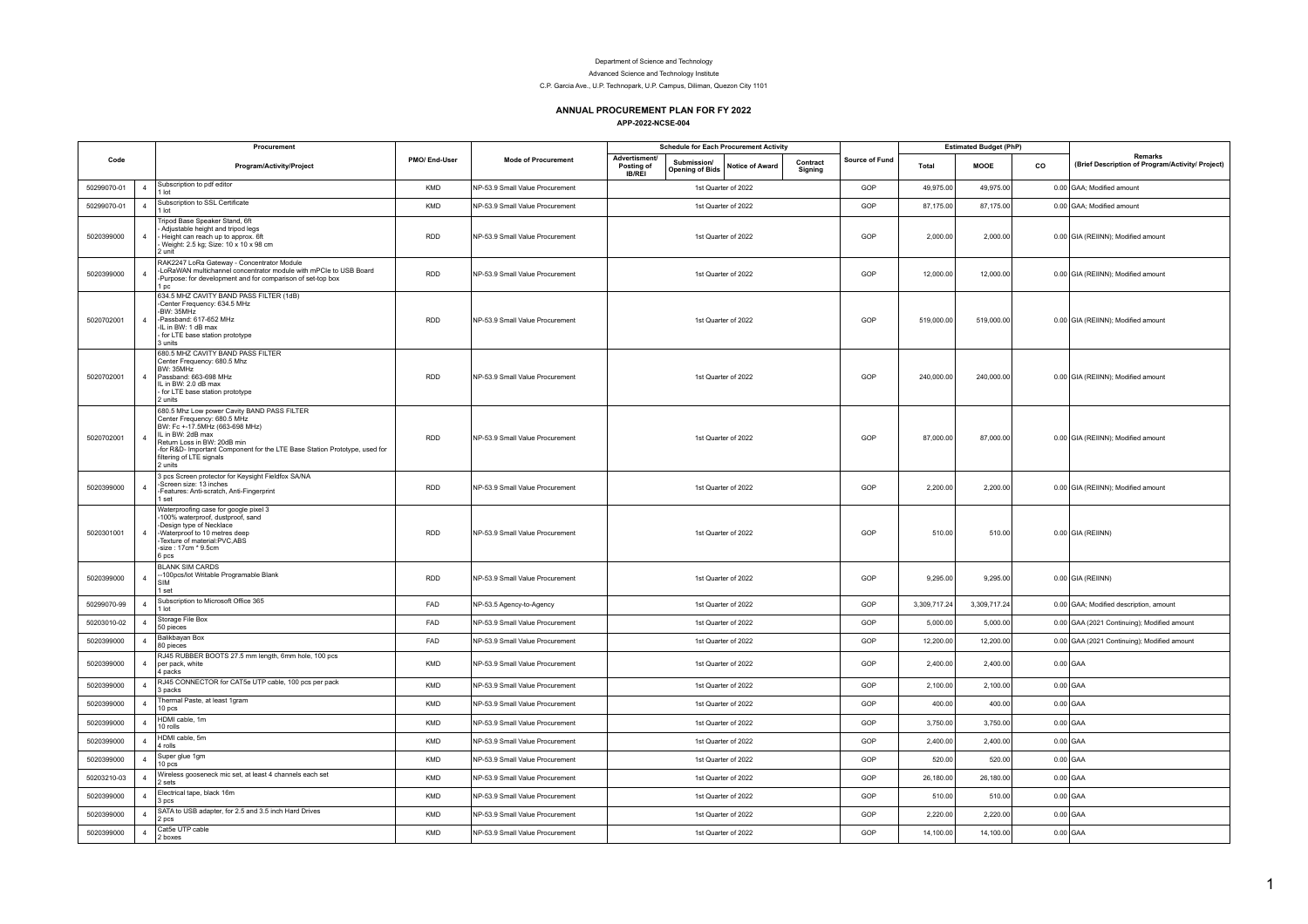## Department of Science and Technology

Advanced Science and Technology Institute

C.P. Garcia Ave., U.P. Technopark, U.P. Campus, Diliman, Quezon City 1101

## **ANNUAL PROCUREMENT PLAN FOR FY 2022 APP-2022-NCSE-004**

| Code        |                | Procurement                                                                                                                                                                                                                                                                           | PMO/End-User | <b>Mode of Procurement</b>      | <b>Schedule for Each Procurement Activity</b>                                                                   |                     |                | <b>Estimated Budget (PhP)</b> |              |    |                                                             |
|-------------|----------------|---------------------------------------------------------------------------------------------------------------------------------------------------------------------------------------------------------------------------------------------------------------------------------------|--------------|---------------------------------|-----------------------------------------------------------------------------------------------------------------|---------------------|----------------|-------------------------------|--------------|----|-------------------------------------------------------------|
|             |                | Program/Activity/Project                                                                                                                                                                                                                                                              |              |                                 | Advertisment/<br>Submission/<br>Posting of<br><b>Notice of Award</b><br><b>Opening of Bids</b><br><b>IB/REI</b> | Contract<br>Signing | Source of Fund | Total                         | MOOE         | co | Remarks<br>(Brief Description of Program/Activity/ Project) |
| 50299070-01 | $\overline{4}$ | Subscription to pdf editor<br>lot                                                                                                                                                                                                                                                     | KMD          | NP-53.9 Small Value Procurement | 1st Quarter of 2022                                                                                             |                     | GOP            | 49,975.00                     | 49,975.00    |    | 0.00 GAA; Modified amount                                   |
| 50299070-01 | $\overline{4}$ | Subscription to SSL Certificate<br>1 lot                                                                                                                                                                                                                                              | <b>KMD</b>   | NP-53.9 Small Value Procurement | 1st Quarter of 2022                                                                                             |                     | GOP            | 87,175.00                     | 87,175.00    |    | 0.00 GAA; Modified amount                                   |
| 5020399000  | $\overline{4}$ | Tripod Base Speaker Stand, 6ft<br>Adjustable height and tripod legs<br>Height can reach up to approx. 6ft<br>Weight: 2.5 kg; Size: 10 x 10 x 98 cm<br>$2$ unit                                                                                                                        | <b>RDD</b>   | NP-53.9 Small Value Procurement | 1st Quarter of 2022                                                                                             |                     | GOP            | 2.000.00                      | 2,000.00     |    | 0.00 GIA (REIINN); Modified amount                          |
| 5020399000  | $\overline{4}$ | RAK2247 LoRa Gateway - Concentrator Module<br>LoRaWAN multichannel concentrator module with mPCIe to USB Board<br>-Purpose: for development and for comparison of set-top box<br>1 pc                                                                                                 | <b>RDD</b>   | NP-53.9 Small Value Procurement | 1st Quarter of 2022                                                                                             |                     | GOP            | 12,000.00                     | 12,000.00    |    | 0.00 GIA (REIINN); Modified amount                          |
| 5020702001  | $\overline{4}$ | 634.5 MHZ CAVITY BAND PASS FILTER (1dB)<br>-Center Frequency: 634.5 MHz<br>-BW: 35MHz<br>-Passband: 617-652 MHz<br>IL in BW: 1 dB max<br>for LTE base station prototype<br>3 units                                                                                                    | <b>RDD</b>   | NP-53.9 Small Value Procurement | 1st Quarter of 2022                                                                                             |                     | GOP            | 519,000.00                    | 519,000.00   |    | 0.00 GIA (REIINN); Modified amount                          |
| 5020702001  | $\overline{4}$ | 680.5 MHZ CAVITY BAND PASS FILTER<br>Center Frequency: 680.5 Mhz<br><b>BW: 35MHz</b><br>Passband: 663-698 MHz<br>IL in BW: 2.0 dB max<br>for LTE base station prototype<br>2 units                                                                                                    | <b>RDD</b>   | NP-53.9 Small Value Procurement | 1st Quarter of 2022                                                                                             |                     | GOP            | 240,000.00                    | 240,000.00   |    | 0.00 GIA (REIINN); Modified amount                          |
| 5020702001  | $\overline{4}$ | 680.5 Mhz Low power Cavity BAND PASS FILTER<br>Center Frequency: 680.5 MHz<br>BW: Fc +-17.5MHz (663-698 MHz)<br>IL in BW: 2dB max<br>Return Loss in BW: 20dB min<br>-for R&D- Important Component for the LTE Base Station Prototype, used for<br>filtering of LTE signals<br>2 units | <b>RDD</b>   | NP-53.9 Small Value Procurement | 1st Quarter of 2022                                                                                             |                     | GOP            | 87,000.00                     | 87,000.00    |    | 0.00 GIA (REIINN); Modified amount                          |
| 5020399000  | $\overline{4}$ | 3 pcs Screen protector for Keysight Fieldfox SA/NA<br>-Screen size: 13 inches<br>Features: Anti-scratch, Anti-Fingerprint<br>set                                                                                                                                                      | <b>RDD</b>   | NP-53.9 Small Value Procurement | 1st Quarter of 2022                                                                                             |                     | GOP            | 2,200.00                      | 2,200.00     |    | 0.00 GIA (REIINN); Modified amount                          |
| 5020301001  | $\overline{4}$ | Waterproofing case for google pixel 3<br>100% waterproof, dustproof, sand<br>Design type of Necklace<br>-Waterproof to 10 metres deep<br>Texture of material:PVC.ABS<br>-size: 17cm * 9.5cm<br>6 pcs                                                                                  | <b>RDD</b>   | NP-53.9 Small Value Procurement | 1st Quarter of 2022                                                                                             |                     | GOP            | 510.00                        | 510.00       |    | $0.00$ GIA (REIINN)                                         |
| 5020399000  | $\overline{4}$ | <b>BLANK SIM CARDS</b><br>-100pcs/lot Writable Programable Blank<br>1 set                                                                                                                                                                                                             | <b>RDD</b>   | NP-53.9 Small Value Procurement | 1st Quarter of 2022                                                                                             |                     | GOP            | 9,295.00                      | 9,295.00     |    | $0.00$ GIA (REIINN)                                         |
| 50299070-99 | $\overline{4}$ | Subscription to Microsoft Office 365<br>1 lot                                                                                                                                                                                                                                         | FAD          | NP-53.5 Agency-to-Agency        | 1st Quarter of 2022                                                                                             |                     | GOP            | 3,309,717.24                  | 3,309,717.24 |    | 0.00 GAA; Modified description, amount                      |
| 50203010-02 | $\overline{4}$ | Storage File Box<br>50 pieces                                                                                                                                                                                                                                                         | FAD          | NP-53.9 Small Value Procurement | 1st Quarter of 2022                                                                                             |                     | GOP            | 5,000.00                      | 5,000.00     |    | 0.00 GAA (2021 Continuing); Modified amount                 |
| 5020399000  | $\overline{4}$ | Balikbayan Box<br>80 pieces                                                                                                                                                                                                                                                           | FAD          | NP-53.9 Small Value Procurement | 1st Quarter of 2022                                                                                             |                     | GOP            | 12,200.00                     | 12,200.00    |    | 0.00 GAA (2021 Continuing); Modified amount                 |
| 5020399000  | $\overline{4}$ | RJ45 RUBBER BOOTS 27.5 mm length, 6mm hole, 100 pcs<br>per pack, white<br>4 packs                                                                                                                                                                                                     | KMD          | NP-53.9 Small Value Procurement | 1st Quarter of 2022                                                                                             |                     | GOP            | 2,400.00                      | 2,400.00     |    | $0.00$ GAA                                                  |
| 5020399000  | $\Delta$       | RJ45 CONNECTOR for CAT5e UTP cable, 100 pcs per pack<br>3 nacks                                                                                                                                                                                                                       | <b>KMD</b>   | NP-53.9 Small Value Procurement | 1st Quarter of 2022                                                                                             |                     | GOP            | 2.100.00                      | 2.100.00     |    | $0.00$ GAA                                                  |
| 5020399000  | $\overline{4}$ | Thermal Paste, at least 1gram<br>10 pcs                                                                                                                                                                                                                                               | KMD          | NP-53.9 Small Value Procurement | 1st Quarter of 2022                                                                                             |                     | GOP            | 400.00                        | 400.00       |    | $0.00$ GAA                                                  |
| 5020399000  | $\overline{4}$ | HDMI cable, 1m<br>10 rolls                                                                                                                                                                                                                                                            | KMD          | NP-53.9 Small Value Procurement | 1st Quarter of 2022                                                                                             |                     | GOP            | 3,750.00                      | 3,750.00     |    | $0.00$ GAA                                                  |
| 5020399000  | $\overline{4}$ | HDMI cable, 5m<br>4 rolls                                                                                                                                                                                                                                                             | <b>KMD</b>   | NP-53.9 Small Value Procurement | 1st Quarter of 2022                                                                                             |                     | GOP            | 2,400.00                      | 2,400.00     |    | $0.00$ GAA                                                  |
| 5020399000  | $\overline{4}$ | Super glue 1gm<br>10 pcs                                                                                                                                                                                                                                                              | <b>KMD</b>   | NP-53.9 Small Value Procurement | 1st Quarter of 2022                                                                                             |                     | GOP            | 520.00                        | 520.00       |    | $0.00$ GAA                                                  |
| 50203210-03 | $\overline{4}$ | Wireless gooseneck mic set, at least 4 channels each set<br>2 sets                                                                                                                                                                                                                    | <b>KMD</b>   | NP-53.9 Small Value Procurement | 1st Quarter of 2022                                                                                             |                     | GOP            | 26,180.00                     | 26,180.00    |    | $0.00$ GAA                                                  |
| 5020399000  | $\overline{4}$ | Electrical tape, black 16m<br>3 pcs                                                                                                                                                                                                                                                   | KMD          | NP-53.9 Small Value Procurement | 1st Quarter of 2022                                                                                             |                     | GOP            | 510.00                        | 510.00       |    | $0.00$ GAA                                                  |
| 5020399000  | $\Delta$       | SATA to USB adapter, for 2.5 and 3.5 inch Hard Drives<br>$2$ ncs                                                                                                                                                                                                                      | <b>KMD</b>   | NP-53.9 Small Value Procurement | 1st Quarter of 2022                                                                                             |                     | GOP            | 2.220.00                      | 2,220.00     |    | $0.00$ GAA                                                  |
| 5020399000  | $\overline{4}$ | Cat5e UTP cable<br>2 hoxes                                                                                                                                                                                                                                                            | <b>KMD</b>   | NP-53.9 Small Value Procurement | 1st Quarter of 2022                                                                                             |                     | GOP            | 14.100.00                     | 14,100.00    |    | $0.00$ GAA                                                  |